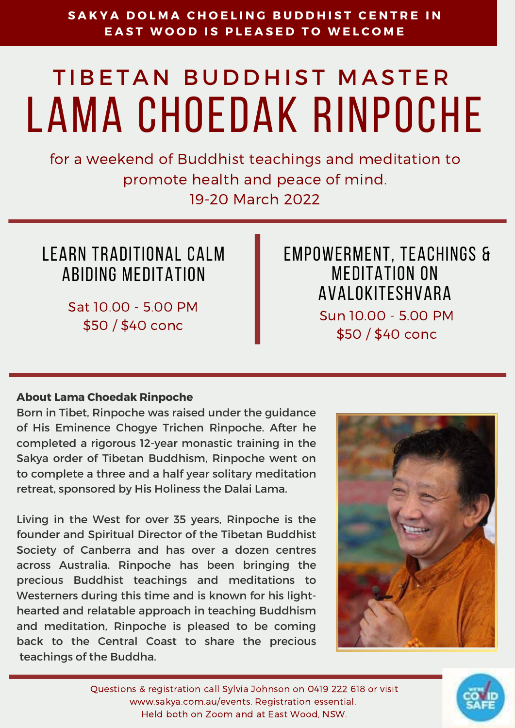### **About Lama Choedak Rinpoche**

Born in Tibet, Rinpoche was raised under the guidance of His Eminence Chogye Trichen Rinpoche. After he completed a rigorous 12-year monastic training in the Sakya order of Tibetan Buddhism, Rinpoche went on to complete a three and a half year solitary meditation retreat, sponsored by His Holiness the Dalai Lama.

### SAKYA DOLMA CHOELING BUDDHIST CENT **EAST WOOD IS PLEASED TO WELCOME**

# TIBETAN BUDDHIST MASTER lama choedak rinpoche

Living in the West for over 35 years, Rinpoche is the founder and Spiritual Director of the Tibetan Buddhist Society of Canberra and has over a dozen centres across Australia. Rinpoche has been bringing the precious Buddhist teachings and meditations to Westerners during this time and is known for his lighthearted and relatable approach in teaching Buddhism and meditation, Rinpoche is pleased to be coming back to the Central Coast to share the precious teachings of the Buddha.



for a weekend of Buddhist teachings and meditation to promote health and peace of mind. 19-20 March 2022

Questions & registration call Sylvia Johnson on 0419 222 618 or visit www.sakya.com.au/events. Registration essential. Held both on Zoom and at East Wood, NSW.



learn traditional calm abiding meditation

> Sat 10.00 - 5.00 PM \$50 / \$40 conc

empowerment, teachings & Meditation on Avalokiteshvara Sun 10.00 - 5.00 PM \$50 / \$40 conc